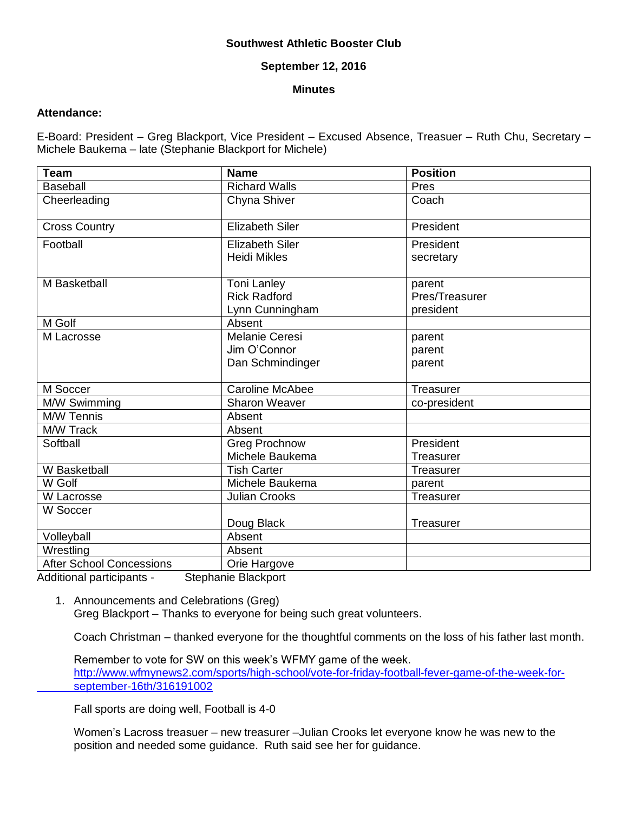# **Southwest Athletic Booster Club**

### **September 12, 2016**

#### **Minutes**

# **Attendance:**

E-Board: President – Greg Blackport, Vice President – Excused Absence, Treasuer – Ruth Chu, Secretary – Michele Baukema – late (Stephanie Blackport for Michele)

| <b>Team</b>                     | <b>Name</b>                                   | Position               |
|---------------------------------|-----------------------------------------------|------------------------|
| <b>Baseball</b>                 | <b>Richard Walls</b>                          | Pres                   |
| Cheerleading                    | Chyna Shiver                                  | Coach                  |
| <b>Cross Country</b>            | <b>Elizabeth Siler</b>                        | President              |
| Football                        | <b>Elizabeth Siler</b><br><b>Heidi Mikles</b> | President<br>secretary |
|                                 |                                               |                        |
| M Basketball                    | <b>Toni Lanley</b>                            | parent                 |
|                                 | <b>Rick Radford</b>                           | Pres/Treasurer         |
|                                 | Lynn Cunningham                               | president              |
| M Golf                          | Absent                                        |                        |
| M Lacrosse                      | <b>Melanie Ceresi</b>                         | parent                 |
|                                 | Jim O'Connor                                  | parent                 |
|                                 | Dan Schmindinger                              | parent                 |
|                                 |                                               |                        |
| M Soccer                        | <b>Caroline McAbee</b>                        | Treasurer              |
| M/W Swimming                    | Sharon Weaver                                 | co-president           |
| M/W Tennis                      | Absent                                        |                        |
| M/W Track                       | Absent                                        |                        |
| Softball                        | <b>Greg Prochnow</b>                          | President              |
|                                 | Michele Baukema                               | Treasurer              |
| W Basketball                    | <b>Tish Carter</b>                            | Treasurer              |
| W Golf                          | Michele Baukema                               | parent                 |
| W Lacrosse                      | <b>Julian Crooks</b>                          | Treasurer              |
| W Soccer                        |                                               |                        |
|                                 | Doug Black                                    | Treasurer              |
| Volleyball                      | Absent                                        |                        |
| Wrestling                       | Absent                                        |                        |
| <b>After School Concessions</b> | Orie Hargove                                  |                        |

Additional participants - Stephanie Blackport

1. Announcements and Celebrations (Greg) Greg Blackport – Thanks to everyone for being such great volunteers.

Coach Christman – thanked everyone for the thoughtful comments on the loss of his father last month.

Remember to vote for SW on this week's WFMY game of the week. [http://www.wfmynews2.com/sports/high-school/vote-for-friday-football-fever-game-of-the-week-for](http://www.wfmynews2.com/sports/high-school/vote-for-friday-football-fever-game-of-the-week-for-%09september-16th/316191002)[september-16th/316191002](http://www.wfmynews2.com/sports/high-school/vote-for-friday-football-fever-game-of-the-week-for-%09september-16th/316191002)

Fall sports are doing well, Football is 4-0

Women's Lacross treasuer – new treasurer –Julian Crooks let everyone know he was new to the position and needed some guidance. Ruth said see her for guidance.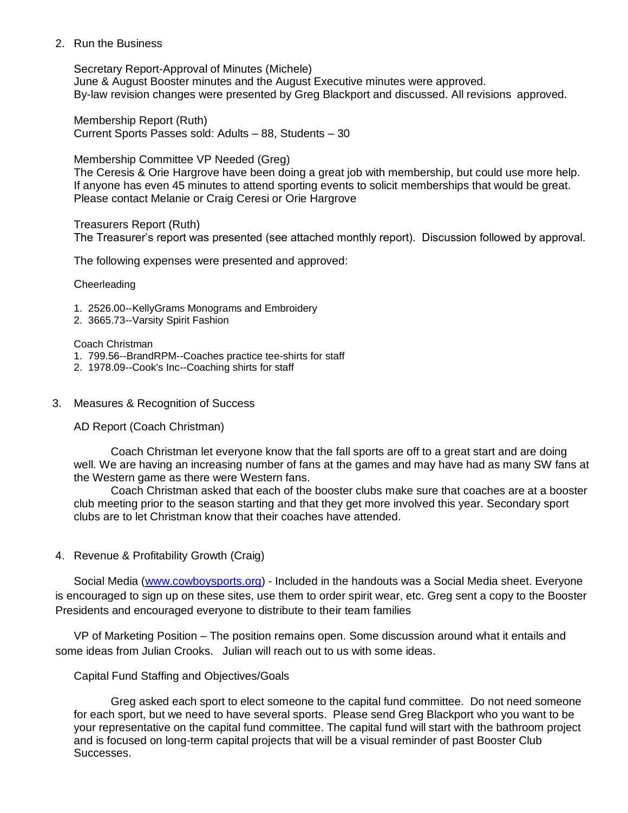### 2. Run the Business

Secretary Report-Approval of Minutes (Michele) June & August Booster minutes and the August Executive minutes were approved. By-law revision changes were presented by Greg Blackport and discussed. All revisions approved.

Membership Report (Ruth) Current Sports Passes sold: Adults – 88, Students – 30

## Membership Committee VP Needed (Greg)

The Ceresis & Orie Hargrove have been doing a great job with membership, but could use more help. If anyone has even 45 minutes to attend sporting events to solicit memberships that would be great. Please contact Melanie or Craig Ceresi or Orie Hargrove

Treasurers Report (Ruth)

The Treasurer's report was presented (see attached monthly report). Discussion followed by approval.

The following expenses were presented and approved:

**Cheerleading** 

- 1. 2526.00--KellyGrams Monograms and Embroidery
- 2. 3665.73--Varsity Spirit Fashion

Coach Christman

- 1. 799.56--BrandRPM--Coaches practice tee-shirts for staff
- 2. 1978.09--Cook's Inc--Coaching shirts for staff

## 3. Measures & Recognition of Success

AD Report (Coach Christman)

Coach Christman let everyone know that the fall sports are off to a great start and are doing well. We are having an increasing number of fans at the games and may have had as many SW fans at the Western game as there were Western fans.

Coach Christman asked that each of the booster clubs make sure that coaches are at a booster club meeting prior to the season starting and that they get more involved this year. Secondary sport clubs are to let Christman know that their coaches have attended.

4. Revenue & Profitability Growth (Craig)

Social Media [\(www.cowboysports.org\)](http://www.cowboysports.org/) - Included in the handouts was a Social Media sheet. Everyone is encouraged to sign up on these sites, use them to order spirit wear, etc. Greg sent a copy to the Booster Presidents and encouraged everyone to distribute to their team families

VP of Marketing Position – The position remains open. Some discussion around what it entails and some ideas from Julian Crooks. Julian will reach out to us with some ideas.

# Capital Fund Staffing and Objectives/Goals

Greg asked each sport to elect someone to the capital fund committee. Do not need someone for each sport, but we need to have several sports. Please send Greg Blackport who you want to be your representative on the capital fund committee. The capital fund will start with the bathroom project and is focused on long-term capital projects that will be a visual reminder of past Booster Club Successes.